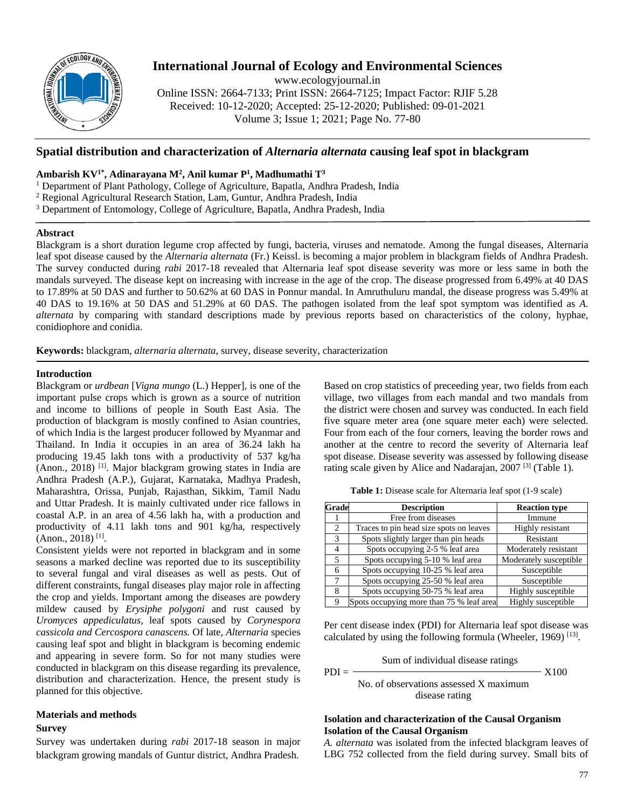

# **International Journal of Ecology and Environmental Sciences**

www.ecologyjournal.in

Online ISSN: 2664-7133; Print ISSN: 2664-7125; Impact Factor: RJIF 5.28 Received: 10-12-2020; Accepted: 25-12-2020; Published: 09-01-2021 Volume 3; Issue 1; 2021; Page No. 77-80

## **Spatial distribution and characterization of** *Alternaria alternata* **causing leaf spot in blackgram**

## **Ambarish KV1\*, Adinarayana M2 , Anil kumar P1 , Madhumathi T3**

- <sup>1</sup> Department of Plant Pathology, College of Agriculture, Bapatla, Andhra Pradesh, India
- <sup>2</sup> Regional Agricultural Research Station, Lam, Guntur, Andhra Pradesh, India
- <sup>3</sup> Department of Entomology, College of Agriculture, Bapatla, Andhra Pradesh, India

### **Abstract**

Blackgram is a short duration legume crop affected by fungi, bacteria, viruses and nematode. Among the fungal diseases, Alternaria leaf spot disease caused by the *Alternaria alternata* (Fr.) Keissl. is becoming a major problem in blackgram fields of Andhra Pradesh. The survey conducted during *rabi* 2017-18 revealed that Alternaria leaf spot disease severity was more or less same in both the mandals surveyed. The disease kept on increasing with increase in the age of the crop. The disease progressed from 6.49% at 40 DAS to 17.89% at 50 DAS and further to 50.62% at 60 DAS in Ponnur mandal. In Amruthuluru mandal, the disease progress was 5.49% at 40 DAS to 19.16% at 50 DAS and 51.29% at 60 DAS. The pathogen isolated from the leaf spot symptom was identified as *A. alternata* by comparing with standard descriptions made by previous reports based on characteristics of the colony, hyphae, conidiophore and conidia.

**Keywords:** blackgram, *alternaria alternata*, survey, disease severity, characterization

## **Introduction**

Blackgram or *urdbean* [*Vigna mungo* (L.) Hepper], is one of the important pulse crops which is grown as a source of nutrition and income to billions of people in South East Asia. The production of blackgram is mostly confined to Asian countries, of which India is the largest producer followed by Myanmar and Thailand. In India it occupies in an area of 36.24 lakh ha producing 19.45 lakh tons with a productivity of 537 kg/ha (Anon., 2018) [1]. Major blackgram growing states in India are Andhra Pradesh (A.P.), Gujarat, Karnataka, Madhya Pradesh, Maharashtra, Orissa, Punjab, Rajasthan, Sikkim, Tamil Nadu and Uttar Pradesh. It is mainly cultivated under rice fallows in coastal A.P. in an area of 4.56 lakh ha, with a production and productivity of 4.11 lakh tons and 901 kg/ha, respectively (Anon., 2018) [1].

Consistent yields were not reported in blackgram and in some seasons a marked decline was reported due to its susceptibility to several fungal and viral diseases as well as pests. Out of different constraints, fungal diseases play major role in affecting the crop and yields. Important among the diseases are powdery mildew caused by *Erysiphe polygoni* and rust caused by *Uromyces appediculatus,* leaf spots caused by *Corynespora cassicola and Cercospora canascens.* Of late, *Alternaria* species causing leaf spot and blight in blackgram is becoming endemic and appearing in severe form. So for not many studies were conducted in blackgram on this disease regarding its prevalence, distribution and characterization. Hence, the present study is planned for this objective.

## **Materials and methods**

### **Survey**

Survey was undertaken during *rabi* 2017-18 season in major blackgram growing mandals of Guntur district, Andhra Pradesh.

Based on crop statistics of preceeding year, two fields from each village, two villages from each mandal and two mandals from the district were chosen and survey was conducted. In each field five square meter area (one square meter each) were selected. Four from each of the four corners, leaving the border rows and another at the centre to record the severity of Alternaria leaf spot disease. Disease severity was assessed by following disease rating scale given by Alice and Nadarajan, 2007 [3] (Table 1).

**Table 1:** Disease scale for Alternaria leaf spot (1-9 scale)

| Grade | <b>Description</b>                       | <b>Reaction type</b>   |  |
|-------|------------------------------------------|------------------------|--|
|       | Free from diseases                       | Immune                 |  |
| 2     | Traces to pin head size spots on leaves  | Highly resistant       |  |
| 3     | Spots slightly larger than pin heads     | Resistant              |  |
| 4     | Spots occupying 2-5 % leaf area          | Moderately resistant   |  |
| 5     | Spots occupying 5-10 % leaf area         | Moderately susceptible |  |
| 6     | Spots occupying 10-25 % leaf area        | Susceptible            |  |
|       | Spots occupying 25-50 % leaf area        | Susceptible            |  |
| 8     | Spots occupying 50-75 % leaf area        | Highly susceptible     |  |
| 9     | Spots occupying more than 75 % leaf area | Highly susceptible     |  |

Per cent disease index (PDI) for Alternaria leaf spot disease was calculated by using the following formula (Wheeler, 1969)  $^{[13]}$ .

Sum of individual disease ratings

 $PDI =$   $X100$ 

No. of observations assessed X maximum disease rating

## **Isolation and characterization of the Causal Organism Isolation of the Causal Organism**

*A. alternata* was isolated from the infected blackgram leaves of LBG 752 collected from the field during survey. Small bits of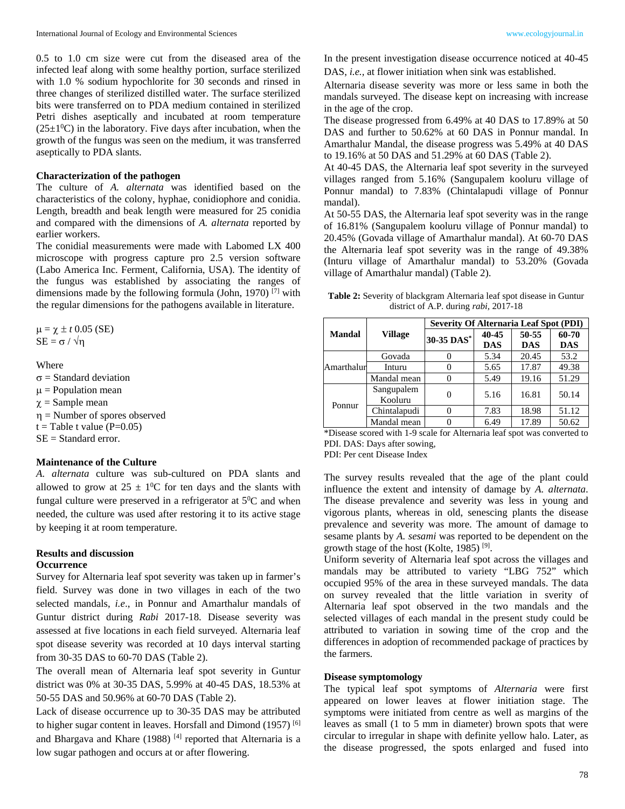0.5 to 1.0 cm size were cut from the diseased area of the infected leaf along with some healthy portion, surface sterilized with 1.0 % sodium hypochlorite for 30 seconds and rinsed in three changes of sterilized distilled water. The surface sterilized bits were transferred on to PDA medium contained in sterilized Petri dishes aseptically and incubated at room temperature  $(25\pm1\textsuperscript{0}C)$  in the laboratory. Five days after incubation, when the growth of the fungus was seen on the medium, it was transferred aseptically to PDA slants.

## **Characterization of the pathogen**

The culture of *A. alternata* was identified based on the characteristics of the colony, hyphae, conidiophore and conidia. Length, breadth and beak length were measured for 25 conidia and compared with the dimensions of *A. alternata* reported by earlier workers.

The conidial measurements were made with Labomed LX 400 microscope with progress capture pro 2.5 version software (Labo America Inc. Ferment, California, USA). The identity of the fungus was established by associating the ranges of dimensions made by the following formula (John, 1970)  $^{[7]}$  with the regular dimensions for the pathogens available in literature.

 $\mu = \chi \pm t$  0.05 (SE)  $SE = \sigma / \sqrt{\eta}$ 

#### **Where**

 $\sigma$  = Standard deviation  $\mu$  = Population mean  $\gamma$  = Sample mean  $\eta$  = Number of spores observed  $t =$ Table t value (P=0.05) SE = Standard error.

## **Maintenance of the Culture**

*A. alternata* culture was sub-cultured on PDA slants and allowed to grow at  $25 \pm 10^{\circ}$ C for ten days and the slants with fungal culture were preserved in a refrigerator at  $5^0C$  and when needed, the culture was used after restoring it to its active stage by keeping it at room temperature.

#### **Results and discussion Occurrence**

Survey for Alternaria leaf spot severity was taken up in farmer's field. Survey was done in two villages in each of the two selected mandals, *i.e*., in Ponnur and Amarthalur mandals of Guntur district during *Rabi* 2017-18. Disease severity was assessed at five locations in each field surveyed. Alternaria leaf spot disease severity was recorded at 10 days interval starting from 30-35 DAS to 60-70 DAS (Table 2).

The overall mean of Alternaria leaf spot severity in Guntur district was 0% at 30-35 DAS, 5.99% at 40-45 DAS, 18.53% at 50-55 DAS and 50.96% at 60-70 DAS (Table 2).

Lack of disease occurrence up to 30-35 DAS may be attributed to higher sugar content in leaves. Horsfall and Dimond (1957) [6] and Bhargava and Khare (1988)<sup>[4]</sup> reported that Alternaria is a low sugar pathogen and occurs at or after flowering.

In the present investigation disease occurrence noticed at 40-45 DAS, *i.e.,* at flower initiation when sink was established.

Alternaria disease severity was more or less same in both the mandals surveyed. The disease kept on increasing with increase in the age of the crop.

The disease progressed from 6.49% at 40 DAS to 17.89% at 50 DAS and further to 50.62% at 60 DAS in Ponnur mandal. In Amarthalur Mandal, the disease progress was 5.49% at 40 DAS to 19.16% at 50 DAS and 51.29% at 60 DAS (Table 2).

At 40-45 DAS, the Alternaria leaf spot severity in the surveyed villages ranged from 5.16% (Sangupalem kooluru village of Ponnur mandal) to 7.83% (Chintalapudi village of Ponnur mandal).

At 50-55 DAS, the Alternaria leaf spot severity was in the range of 16.81% (Sangupalem kooluru village of Ponnur mandal) to 20.45% (Govada village of Amarthalur mandal). At 60-70 DAS the Alternaria leaf spot severity was in the range of 49.38% (Inturu village of Amarthalur mandal) to 53.20% (Govada village of Amarthalur mandal) (Table 2).

**Table 2:** Severity of blackgram Alternaria leaf spot disease in Guntur district of A.P. during *rabi,* 2017-18

|               | Village<br>30-35 DAS* | <b>Severity Of Alternaria Leaf Spot (PDI)</b> |            |            |       |  |
|---------------|-----------------------|-----------------------------------------------|------------|------------|-------|--|
| <b>Mandal</b> |                       |                                               | 40-45      | 50-55      | 60-70 |  |
|               |                       | <b>DAS</b>                                    | <b>DAS</b> | <b>DAS</b> |       |  |
|               | Govada                |                                               | 5.34       | 20.45      | 53.2  |  |
| Amarthalur    | Inturu                |                                               | 5.65       | 17.87      | 49.38 |  |
|               | Mandal mean           |                                               | 5.49       | 19.16      | 51.29 |  |
| Ponnur        | Sangupalem<br>Kooluru |                                               | 5.16       | 16.81      | 50.14 |  |
|               | Chintalapudi          |                                               | 7.83       | 18.98      | 51.12 |  |
|               | Mandal mean           |                                               | 6.49       | 17.89      | 50.62 |  |

\*Disease scored with 1-9 scale for Alternaria leaf spot was converted to PDI. DAS: Days after sowing, PDI: Per cent Disease Index

The survey results revealed that the age of the plant could influence the extent and intensity of damage by *A. alternata*. The disease prevalence and severity was less in young and vigorous plants, whereas in old, senescing plants the disease prevalence and severity was more. The amount of damage to sesame plants by *A. sesami* was reported to be dependent on the growth stage of the host (Kolte, 1985) [9].

Uniform severity of Alternaria leaf spot across the villages and mandals may be attributed to variety "LBG 752" which occupied 95% of the area in these surveyed mandals. The data on survey revealed that the little variation in sverity of Alternaria leaf spot observed in the two mandals and the selected villages of each mandal in the present study could be attributed to variation in sowing time of the crop and the differences in adoption of recommended package of practices by the farmers*.*

#### **Disease symptomology**

The typical leaf spot symptoms of *Alternaria* were first appeared on lower leaves at flower initiation stage. The symptoms were initiated from centre as well as margins of the leaves as small (1 to 5 mm in diameter) brown spots that were circular to irregular in shape with definite yellow halo. Later, as the disease progressed, the spots enlarged and fused into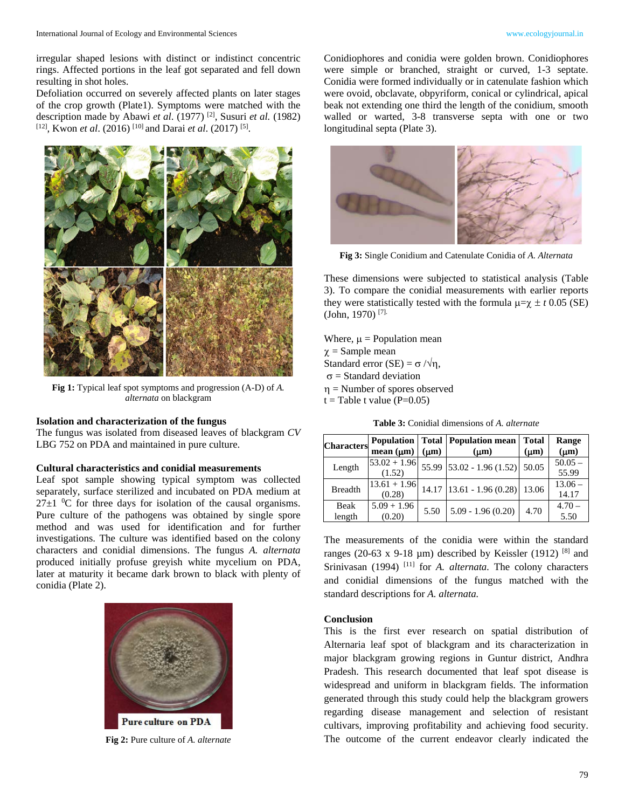irregular shaped lesions with distinct or indistinct concentric rings. Affected portions in the leaf got separated and fell down resulting in shot holes.

Defoliation occurred on severely affected plants on later stages of the crop growth (Plate1). Symptoms were matched with the description made by Abawi *et al*. (1977) [2], Susuri *et al.* (1982) [12], Kwon *et al*. (2016) [10] and Darai *et al*. (2017) [5].



**Fig 1:** Typical leaf spot symptoms and progression (A-D) of *A. alternata* on blackgram

## **Isolation and characterization of the fungus**

The fungus was isolated from diseased leaves of blackgram *CV*  LBG 752 on PDA and maintained in pure culture.

#### **Cultural characteristics and conidial measurements**

Leaf spot sample showing typical symptom was collected separately, surface sterilized and incubated on PDA medium at  $27\pm1$  <sup>0</sup>C for three days for isolation of the causal organisms. Pure culture of the pathogens was obtained by single spore method and was used for identification and for further investigations. The culture was identified based on the colony characters and conidial dimensions. The fungus *A. alternata*  produced initially profuse greyish white mycelium on PDA, later at maturity it became dark brown to black with plenty of conidia (Plate 2).



**Fig 2:** Pure culture of *A. alternate*

Conidiophores and conidia were golden brown. Conidiophores were simple or branched, straight or curved, 1-3 septate. Conidia were formed individually or in catenulate fashion which were ovoid, obclavate, obpyriform, conical or cylindrical, apical beak not extending one third the length of the conidium, smooth walled or warted, 3-8 transverse septa with one or two longitudinal septa (Plate 3).



**Fig 3:** Single Conidium and Catenulate Conidia of *A. Alternata*

These dimensions were subjected to statistical analysis (Table 3). To compare the conidial measurements with earlier reports they were statistically tested with the formula  $\mu = \chi \pm t$  0.05 (SE) (John, 1970) [7].

Where,  $\mu$  = Population mean  $\chi$  = Sample mean Standard error (SE) =  $\sigma / \sqrt{\eta}$ ,  $\sigma$  = Standard deviation  $\eta$  = Number of spores observed  $t =$ Table t value (P=0.05)

**Table 3:** Conidial dimensions of *A. alternate*

| <b>Characters</b> |                |           | <b>Population   Total   Population mean  </b> | <b>Total</b> | Range     |
|-------------------|----------------|-----------|-----------------------------------------------|--------------|-----------|
|                   | mean $(\mu m)$ | $(\mu m)$ | $(\mu m)$                                     | $(\mu m)$    | $(\mu m)$ |
|                   | $53.02 + 1.96$ |           | 55.99 $53.02 - 1.96(1.52)$                    | 50.05        | $50.05 -$ |
| Length            | (1.52)         |           |                                               |              | 55.99     |
| <b>Breadth</b>    | $13.61 + 1.96$ |           | $14.17$   13.61 - 1.96 (0.28)                 | 13.06        | $13.06 -$ |
|                   | (0.28)         |           |                                               |              | 14.17     |
| Beak              | $5.09 + 1.96$  | 5.50      | $5.09 - 1.96(0.20)$                           | 4.70         | $4.70 -$  |
| length            | (0.20)         |           |                                               |              | 5.50      |

The measurements of the conidia were within the standard ranges (20-63 x 9-18  $\mu$ m) described by Keissler (1912) [8] and Srinivasan (1994)<sup>[11]</sup> for *A. alternata*. The colony characters and conidial dimensions of the fungus matched with the standard descriptions for *A. alternata.* 

#### **Conclusion**

This is the first ever research on spatial distribution of Alternaria leaf spot of blackgram and its characterization in major blackgram growing regions in Guntur district, Andhra Pradesh. This research documented that leaf spot disease is widespread and uniform in blackgram fields. The information generated through this study could help the blackgram growers regarding disease management and selection of resistant cultivars, improving profitability and achieving food security. The outcome of the current endeavor clearly indicated the